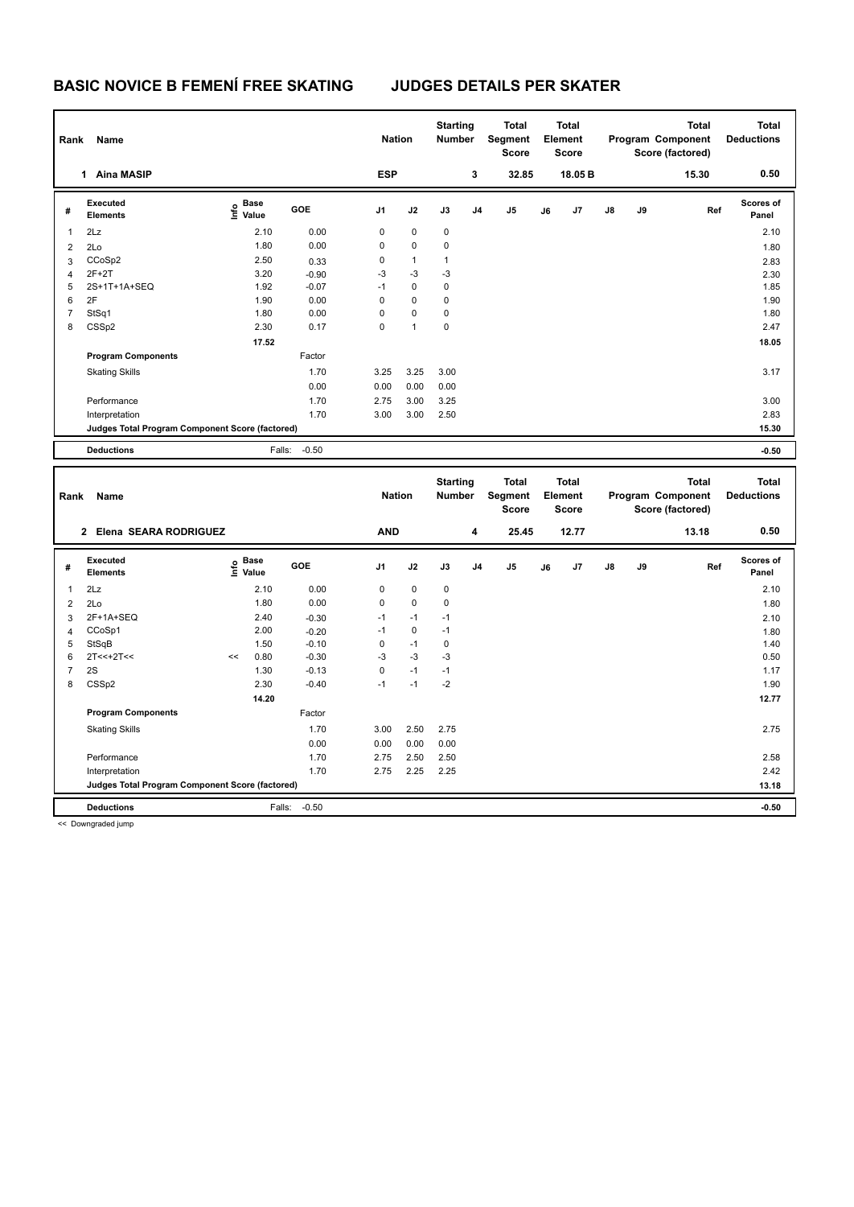## **BASIC NOVICE B FEMENÍ FREE SKATING JUDGES DETAILS PER SKATER**

| Name<br>Rank   |                                                 |                                  |            |                | <b>Nation</b> |              | <b>Starting</b><br><b>Number</b> | <b>Total</b><br><b>Total</b><br>Segment<br>Element<br><b>Score</b><br><b>Score</b> |    | <b>Total</b><br>Program Component<br>Score (factored) |               |       | <b>Total</b><br><b>Deductions</b> |                           |
|----------------|-------------------------------------------------|----------------------------------|------------|----------------|---------------|--------------|----------------------------------|------------------------------------------------------------------------------------|----|-------------------------------------------------------|---------------|-------|-----------------------------------|---------------------------|
|                | <b>Aina MASIP</b><br>1                          |                                  |            | <b>ESP</b>     |               |              | 3                                | 32.85                                                                              |    | 18.05 B                                               |               |       | 15.30                             | 0.50                      |
| #              | Executed<br><b>Elements</b>                     | <b>Base</b><br>e Base<br>⊆ Value | <b>GOE</b> | J <sub>1</sub> | J2            | J3           | J <sub>4</sub>                   | J <sub>5</sub>                                                                     | J6 | J7                                                    | $\mathsf{J}8$ | J9    | Ref                               | <b>Scores of</b><br>Panel |
| 1              | 2Lz                                             | 2.10                             | 0.00       | 0              | 0             | $\pmb{0}$    |                                  |                                                                                    |    |                                                       |               |       |                                   | 2.10                      |
| $\overline{2}$ | 2Lo                                             | 1.80                             | 0.00       | 0              | $\mathbf 0$   | $\mathbf 0$  |                                  |                                                                                    |    |                                                       |               |       |                                   | 1.80                      |
| 3              | CCoSp2                                          | 2.50                             | 0.33       | 0              | $\mathbf{1}$  | $\mathbf{1}$ |                                  |                                                                                    |    |                                                       |               |       |                                   | 2.83                      |
| $\overline{4}$ | $2F+2T$                                         | 3.20                             | $-0.90$    | $-3$           | $-3$          | $-3$         |                                  |                                                                                    |    |                                                       |               |       |                                   | 2.30                      |
| 5              | 2S+1T+1A+SEQ                                    | 1.92                             | $-0.07$    | $-1$           | $\mathbf 0$   | 0            |                                  |                                                                                    |    |                                                       |               |       |                                   | 1.85                      |
| 6              | 2F                                              | 1.90                             | 0.00       | 0              | $\mathbf 0$   | $\mathbf 0$  |                                  |                                                                                    |    |                                                       |               |       |                                   | 1.90                      |
| 7              | StSq1                                           | 1.80                             | 0.00       | 0              | 0             | 0            |                                  |                                                                                    |    |                                                       |               |       |                                   | 1.80                      |
| 8              | CSSp2                                           | 2.30                             | 0.17       | 0              | 1             | 0            |                                  |                                                                                    |    |                                                       |               |       |                                   | 2.47                      |
|                |                                                 | 17.52                            |            |                |               |              |                                  |                                                                                    |    |                                                       |               |       |                                   | 18.05                     |
|                | <b>Program Components</b>                       |                                  | Factor     |                |               |              |                                  |                                                                                    |    |                                                       |               |       |                                   |                           |
|                | <b>Skating Skills</b>                           |                                  | 1.70       | 3.25           | 3.25          | 3.00         |                                  |                                                                                    |    |                                                       |               |       |                                   | 3.17                      |
|                |                                                 |                                  | 0.00       | 0.00           | 0.00          | 0.00         |                                  |                                                                                    |    |                                                       |               |       |                                   |                           |
|                | Performance                                     |                                  | 1.70       | 2.75           | 3.00          | 3.25         |                                  |                                                                                    |    |                                                       |               |       |                                   | 3.00                      |
|                | Interpretation                                  |                                  | 1.70       | 3.00           | 3.00          | 2.50         |                                  |                                                                                    |    |                                                       |               |       |                                   | 2.83                      |
|                | Judges Total Program Component Score (factored) |                                  |            |                |               |              |                                  |                                                                                    |    |                                                       |               | 15.30 |                                   |                           |
|                | <b>Deductions</b>                               | Falls:                           | $-0.50$    |                |               |              |                                  |                                                                                    |    |                                                       |               |       |                                   | $-0.50$                   |

| Rank           | Name                                             |                     |             |         | <b>Nation</b>  |             | <b>Starting</b><br><b>Number</b> |                | <b>Total</b><br>Segment<br><b>Score</b> |       | <b>Total</b><br>Element<br><b>Score</b> |               |    | <b>Total</b><br>Program Component<br>Score (factored) | Total<br><b>Deductions</b> |
|----------------|--------------------------------------------------|---------------------|-------------|---------|----------------|-------------|----------------------------------|----------------|-----------------------------------------|-------|-----------------------------------------|---------------|----|-------------------------------------------------------|----------------------------|
|                | Elena SEARA RODRIGUEZ<br>$\overline{2}$          |                     |             |         | <b>AND</b>     |             |                                  | 4              | 25.45                                   |       | 12.77                                   |               |    | 13.18                                                 | 0.50                       |
| #              | Executed<br><b>Elements</b>                      | $\frac{6}{5}$ Value | <b>Base</b> | GOE     | J <sub>1</sub> | J2          | J3                               | J <sub>4</sub> | J <sub>5</sub>                          | J6    | J7                                      | $\mathsf{J}8$ | J9 | Ref                                                   | <b>Scores of</b><br>Panel  |
| $\mathbf{1}$   | 2Lz                                              |                     | 2.10        | 0.00    | 0              | $\mathbf 0$ | 0                                |                |                                         |       |                                         |               |    |                                                       | 2.10                       |
| $\overline{2}$ | 2Lo                                              |                     | 1.80        | 0.00    | 0              | $\mathbf 0$ | $\pmb{0}$                        |                |                                         |       |                                         |               |    |                                                       | 1.80                       |
| 3              | 2F+1A+SEQ                                        |                     | 2.40        | $-0.30$ | $-1$           | $-1$        | $-1$                             |                |                                         |       |                                         |               |    |                                                       | 2.10                       |
| 4              | CCoSp1                                           |                     | 2.00        | $-0.20$ | $-1$           | 0           | $-1$                             |                |                                         |       |                                         |               |    |                                                       | 1.80                       |
| 5              | StSqB                                            |                     | 1.50        | $-0.10$ | 0              | $-1$        | 0                                |                |                                         |       |                                         |               |    |                                                       | 1.40                       |
| 6              | $2T<<+2T<<$                                      | <<                  | 0.80        | $-0.30$ | $-3$           | $-3$        | $-3$                             |                |                                         |       |                                         |               |    |                                                       | 0.50                       |
| $\overline{7}$ | 2S                                               |                     | 1.30        | $-0.13$ | 0              | $-1$        | $-1$                             |                |                                         |       |                                         |               |    |                                                       | 1.17                       |
| 8              | CSSp2                                            |                     | 2.30        | $-0.40$ | -1             | $-1$        | $-2$                             |                |                                         |       |                                         |               |    |                                                       | 1.90                       |
|                |                                                  |                     | 14.20       |         |                |             |                                  |                |                                         |       |                                         |               |    |                                                       | 12.77                      |
|                | <b>Program Components</b>                        |                     |             | Factor  |                |             |                                  |                |                                         |       |                                         |               |    |                                                       |                            |
|                | <b>Skating Skills</b>                            |                     |             | 1.70    | 3.00           | 2.50        | 2.75                             |                |                                         |       |                                         |               |    |                                                       | 2.75                       |
|                |                                                  |                     |             | 0.00    | 0.00           | 0.00        | 0.00                             |                |                                         |       |                                         |               |    |                                                       |                            |
|                | Performance                                      |                     |             | 1.70    | 2.75           | 2.50        | 2.50                             |                |                                         |       |                                         |               |    |                                                       | 2.58                       |
|                | Interpretation                                   |                     |             | 1.70    | 2.75           | 2.25        | 2.25                             |                |                                         |       |                                         |               |    |                                                       | 2.42                       |
|                | Judges Total Program Component Score (factored)  |                     |             |         |                |             |                                  |                |                                         | 13.18 |                                         |               |    |                                                       |                            |
|                | <b>Deductions</b>                                |                     | Falls:      | $-0.50$ |                |             |                                  |                |                                         |       |                                         |               |    |                                                       | $-0.50$                    |
|                | $\sim$ $\sim$ $\sim$ $\sim$ $\sim$ $\sim$ $\sim$ |                     |             |         |                |             |                                  |                |                                         |       |                                         |               |    |                                                       |                            |

<< Downgraded jump